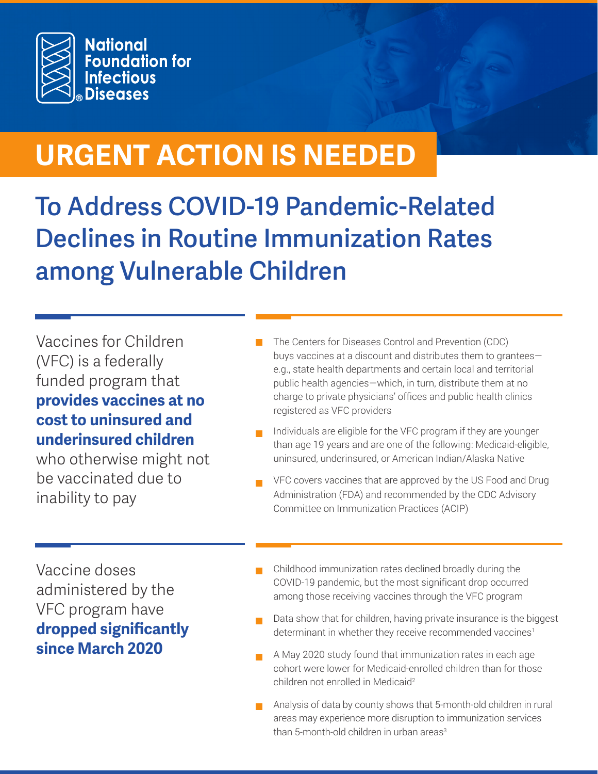

## **URGENT ACTION IS NEEDED**

**To Address COVID-19 Pandemic-Related Declines in Routine Immunization Rates among Vulnerable Children**

Vaccines for Children (VFC) is a federally funded program that **provides vaccines at no cost to uninsured and underinsured children**

who otherwise might not be vaccinated due to inability to pay

- The Centers for Diseases Control and Prevention (CDC) buys vaccines at a discount and distributes them to grantees e.g., state health departments and certain local and territorial public health agencies—which, in turn, distribute them at no charge to private physicians' offices and public health clinics registered as VFC providers
- Individuals are eligible for the VFC program if they are younger than age 19 years and are one of the following: Medicaid-eligible, uninsured, underinsured, or American Indian/Alaska Native
- VFC covers vaccines that are approved by the US Food and Drug Administration (FDA) and recommended by the CDC Advisory Committee on Immunization Practices (ACIP)

Vaccine doses administered by the VFC program have **dropped significantly since March 2020**

- Childhood immunization rates declined broadly during the COVID-19 pandemic, but the most significant drop occurred among those receiving vaccines through the VFC program
- Data show that for children, having private insurance is the biggest determinant in whether they receive recommended vaccines<sup>1</sup>
- A May 2020 study found that immunization rates in each age cohort were lower for Medicaid-enrolled children than for those children not enrolled in Medicaid<sup>2</sup>
- Analysis of data by county shows that 5-month-old children in rural areas may experience more disruption to immunization services than 5-month-old children in urban areas<sup>3</sup>